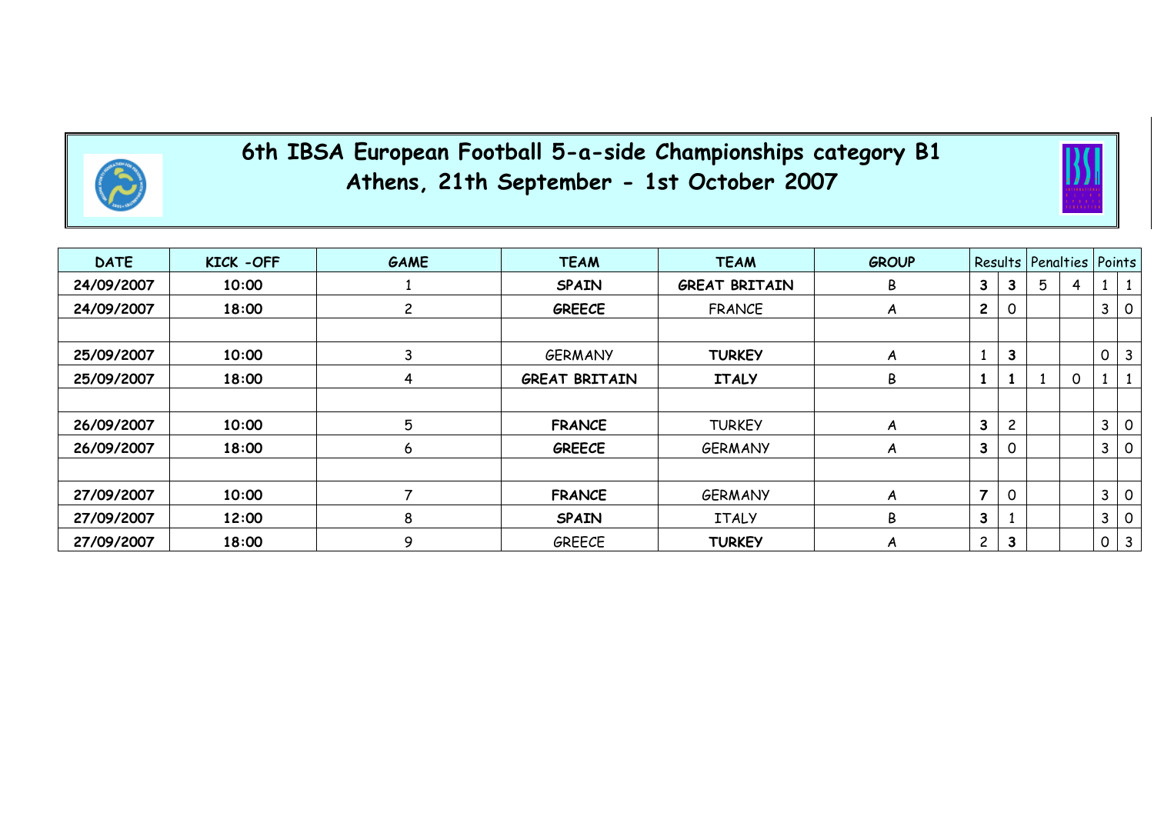

## **6th IBSA European Football 5-a-side Championships category B1Athens, 21th September - 1st October 2007**

| <b>DATE</b> | <b>KICK - OFF</b> | <b>GAME</b>    | <b>TEAM</b>          | <b>TEAM</b>          | <b>GROUP</b> |                |                | Results Penalties Points |   |                |             |
|-------------|-------------------|----------------|----------------------|----------------------|--------------|----------------|----------------|--------------------------|---|----------------|-------------|
| 24/09/2007  | 10:00             |                | <b>SPAIN</b>         | <b>GREAT BRITAIN</b> | B            | 3              | 3              | 5                        | 4 |                |             |
| 24/09/2007  | 18:00             | $\overline{c}$ | <b>GREECE</b>        | <b>FRANCE</b>        | A            | $\mathbf{2}$   | 0              |                          |   | 3              | 0           |
|             |                   |                |                      |                      |              |                |                |                          |   |                |             |
| 25/09/2007  | 10:00             | 3              | <b>GERMANY</b>       | <b>TURKEY</b>        | A            |                | 3              |                          |   | $\mathsf{O}$   | 3           |
| 25/09/2007  | 18:00             | 4              | <b>GREAT BRITAIN</b> | <b>ITALY</b>         | B            | 1              |                |                          | 0 |                |             |
|             |                   |                |                      |                      |              |                |                |                          |   |                |             |
| 26/09/2007  | 10:00             | 5              | <b>FRANCE</b>        | <b>TURKEY</b>        | A            | 3              | $\overline{c}$ |                          |   | $\mathbf{3}$   | 0           |
| 26/09/2007  | 18:00             | 6              | <b>GREECE</b>        | <b>GERMANY</b>       | A            | 3              | 0              |                          |   | 3 <sup>7</sup> | $\mathbf 0$ |
|             |                   |                |                      |                      |              |                |                |                          |   |                |             |
| 27/09/2007  | 10:00             |                | <b>FRANCE</b>        | <b>GERMANY</b>       | A            | $\overline{7}$ | 0              |                          |   | $\mathbf{3}$   | $\mathbf 0$ |
| 27/09/2007  | 12:00             | 8              | <b>SPAIN</b>         | <b>ITALY</b>         | B            | 3              |                |                          |   | 3              | O           |
| 27/09/2007  | 18:00             | 9              | GREECE               | <b>TURKEY</b>        | A            | $\overline{2}$ | 3              |                          |   | $\circ$        | 3           |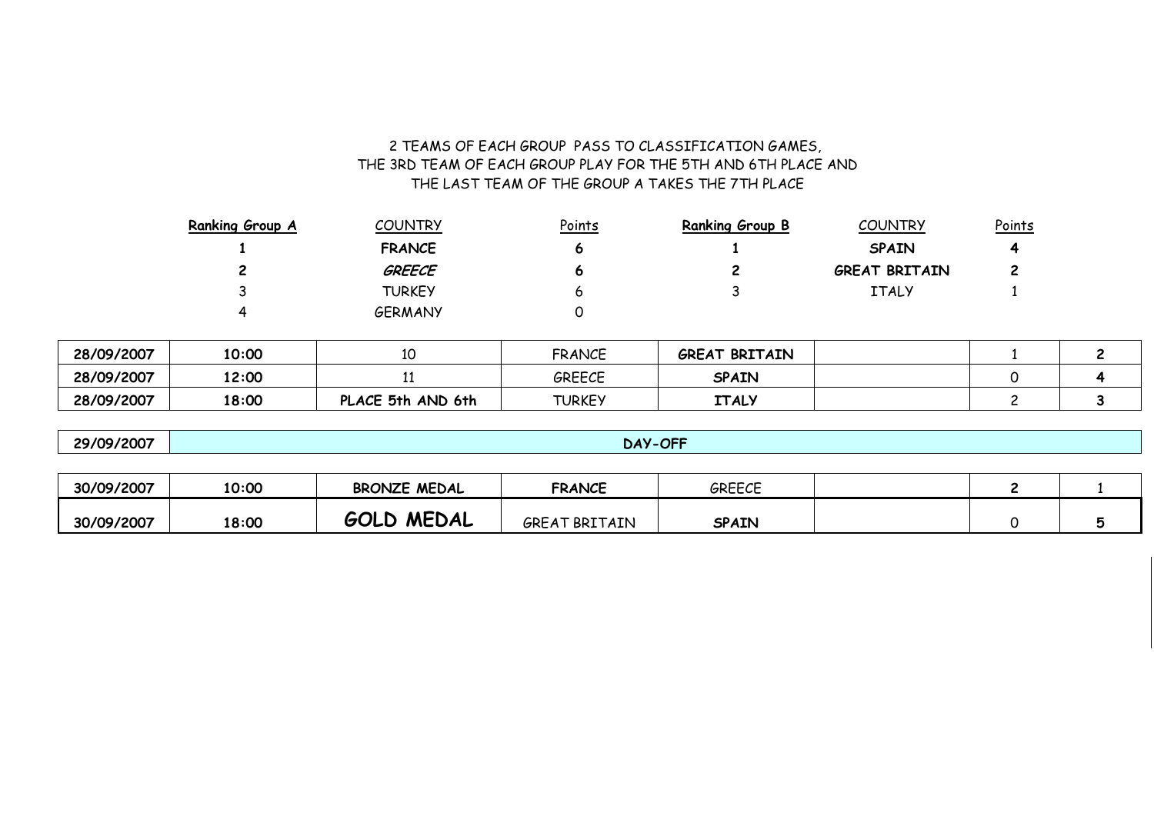## 2 TEAMS OF EACH GROUP PASS TO CLASSIFICATION GAMES, THE 3RD TEAM OF EACH GROUP PLAY FOR THE 5TH AND 6TH PLACE AND THE LAST TEAM OF THE GROUP A TAKES THE 7TH PLACE

| Ranking Group A | <b>COUNTRY</b> | Points | <b>Ranking Group B</b> | <b>COUNTRY</b>       | Points |  |
|-----------------|----------------|--------|------------------------|----------------------|--------|--|
|                 | <b>FRANCE</b>  |        |                        | <b>SPAIN</b>         |        |  |
|                 | GREECE         |        |                        | <b>GREAT BRITAIN</b> |        |  |
|                 | <b>TURKEY</b>  |        |                        | <b>ITALY</b>         |        |  |
|                 | <b>GERMANY</b> |        |                        |                      |        |  |

| 28/09/2007 | 10:00 | 10                          | <b>FRANCE</b> | <b>BRITAIN</b><br>GREAT |  |  |
|------------|-------|-----------------------------|---------------|-------------------------|--|--|
| 28/09/2007 | 12:00 | --                          | <b>GREECE</b> | <b>SPAIN</b>            |  |  |
| 28/09/2007 | 18:00 | 5th AND 6th<br><b>PLACE</b> | <b>TURKEY</b> | <b>ITALY</b>            |  |  |

| 20 ING<br>25.5<br>. JU 1 | $- - -$<br>DAY.<br>ne.<br>. .<br>. . |
|--------------------------|--------------------------------------|
|--------------------------|--------------------------------------|

| 30/09/2007 | 10:00 | <b>BRONZE MEDAL</b> | <b>FRANCE</b> | GREECE       |  |  |
|------------|-------|---------------------|---------------|--------------|--|--|
| 30/09/2007 | 18:00 | MEDAL<br>⊣UV÷<br>ы  | GREAT BRITAIN | <b>SPAIN</b> |  |  |